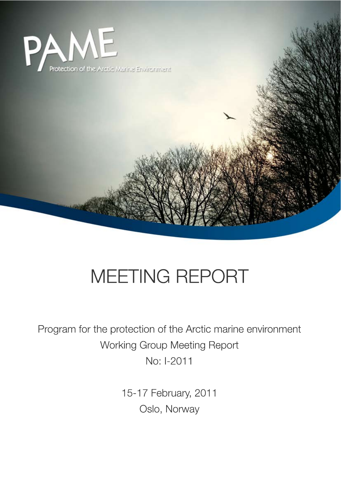

# MEETING REPORT

Program for the protection of the Arctic marine environment Working Group Meeting Report No: I-2011

> 15-17 February, 2011 Oslo, Norway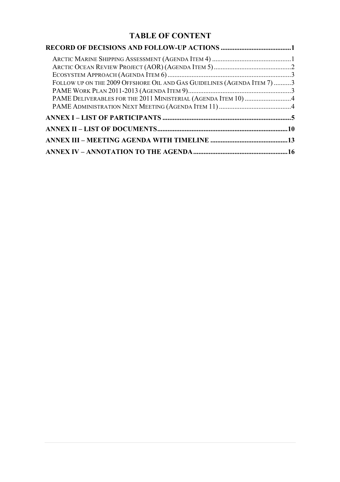## **TABLE OF CONTENT**

| FOLLOW UP ON THE 2009 OFFSHORE OIL AND GAS GUIDELINES (AGENDA ITEM 7) 3 |  |
|-------------------------------------------------------------------------|--|
|                                                                         |  |
| PAME DELIVERABLES FOR THE 2011 MINISTERIAL (AGENDA ITEM 10) 4           |  |
|                                                                         |  |
|                                                                         |  |
|                                                                         |  |
|                                                                         |  |
|                                                                         |  |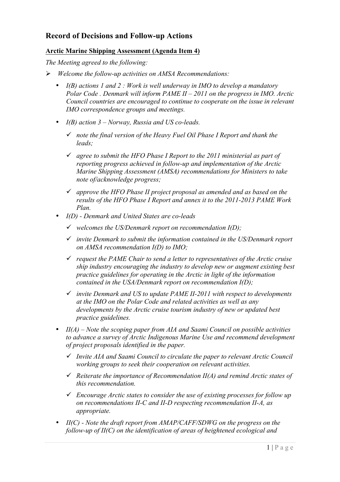## **Record of Decisions and Follow-up Actions**

## **Arctic Marine Shipping Assessment (Agenda Item 4)**

*The Meeting agreed to the following:* 

- ! *Welcome the follow-up activities on AMSA Recommendations:* 
	- *I(B) actions 1 and 2 : Work is well underway in IMO to develop a mandatory Polar Code . Denmark will inform PAME II – 2011 on the progress in IMO. Arctic Council countries are encouraged to continue to cooperate on the issue in relevant IMO correspondence groups and meetings.*
	- *I(B) action 3 – Norway, Russia and US co-leads.* 
		- " *note the final version of the Heavy Fuel Oil Phase I Report and thank the leads;*
		- $\checkmark$  agree to submit the HFO Phase I Report to the 2011 ministerial as part of *reporting progress achieved in follow-up and implementation of the Arctic Marine Shipping Assessment (AMSA) recommendations for Ministers to take note of/acknowledge progress;*
		- $\checkmark$  approve the HFO Phase II project proposal as amended and as based on the *results of the HFO Phase I Report and annex it to the 2011-2013 PAME Work Plan.*
	- *I(D) - Denmark and United States are co-leads* 
		- " *welcomes the US/Denmark report on recommendation I(D);*
		- " *invite Denmark to submit the information contained in the US/Denmark report on AMSA recommendation I(D) to IMO;*
		- " *request the PAME Chair to send a letter to representatives of the Arctic cruise ship industry encouraging the industry to develop new or augment existing best practice guidelines for operating in the Arctic in light of the information contained in the USA/Denmark report on recommendation I(D);*
		- " *invite Denmark and US to update PAME II-2011 with respect to developments at the IMO on the Polar Code and related activities as well as any developments by the Arctic cruise tourism industry of new or updated best practice guidelines.*
	- *II(A) – Note the scoping paper from AIA and Saami Council on possible activities to advance a survey of Arctic Indigenous Marine Use and recommend development of project proposals identified in the paper.* 
		- " *Invite AIA and Saami Council to circulate the paper to relevant Arctic Council working groups to seek their cooperation on relevant activities.*
		- $\checkmark$  Reiterate the importance of Recommendation II(A) and remind Arctic states of *this recommendation.*
		- " *Encourage Arctic states to consider the use of existing processes for follow up on recommendations II-C and II-D respecting recommendation II-A, as appropriate.*
	- *II(C) - Note the draft report from AMAP/CAFF/SDWG on the progress on the follow-up of II(C) on the identification of areas of heightened ecological and*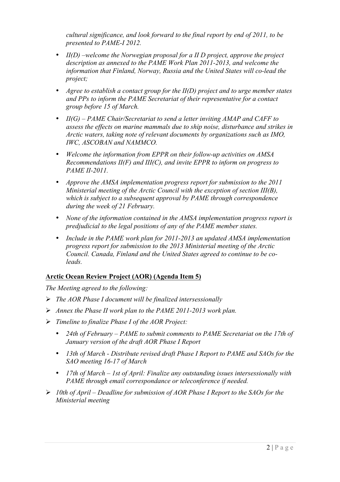*cultural significance, and look forward to the final report by end of 2011, to be presented to PAME-I 2012.* 

- *II(D) –welcome the Norwegian proposal for a II D project, approve the project description as annexed to the PAME Work Plan 2011-2013, and welcome the information that Finland, Norway, Russia and the United States will co-lead the project;*
- *Agree to establish a contact group for the II(D) project and to urge member states and PPs to inform the PAME Secretariat of their representative for a contact group before 15 of March.*
- *II(G) – PAME Chair/Secretariat to send a letter inviting AMAP and CAFF to assess the effects on marine mammals due to ship noise, disturbance and strikes in Arctic waters, taking note of relevant documents by organizations such as IMO, IWC, ASCOBAN and NAMMCO.*
- *Welcome the information from EPPR on their follow-up activities on AMSA Recommendations II(F) and III(C), and invite EPPR to inform on progress to PAME II-2011.*
- *Approve the AMSA implementation progress report for submission to the 2011 Ministerial meeting of the Arctic Council with the exception of section III(B), which is subject to a subsequent approval by PAME through correspondence during the week of 21 February.*
- *None of the information contained in the AMSA implementation progress report is predjudicial to the legal positions of any of the PAME member states.*
- *Include in the PAME work plan for 2011-2013 an updated AMSA implementation progress report for submission to the 2013 Ministerial meeting of the Arctic Council. Canada, Finland and the United States agreed to continue to be coleads.*

## **Arctic Ocean Review Project (AOR) (Agenda Item 5)**

*The Meeting agreed to the following:* 

- ! *The AOR Phase I document will be finalized intersessionally*
- ! *Annex the Phase II work plan to the PAME 2011-2013 work plan.*
- ! *Timeline to finalize Phase I of the AOR Project:* 
	- *24th of February – PAME to submit comments to PAME Secretariat on the 17th of January version of the draft AOR Phase I Report*
	- *13th of March - Distribute revised draft Phase I Report to PAME and SAOs for the SAO meeting 16-17 of March*
	- *17th of March – 1st of April: Finalize any outstanding issues intersessionally with PAME through email correspondance or teleconference if needed.*
- ! *10th of April – Deadline for submission of AOR Phase I Report to the SAOs for the Ministerial meeting*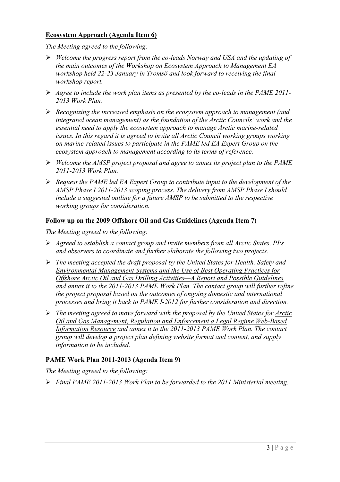## **Ecosystem Approach (Agenda Item 6)**

*The Meeting agreed to the following:* 

- ! *Welcome the progress report from the co-leads Norway and USA and the updating of the main outcomes of the Workshop on Ecosystem Approach to Management EA workshop held 22-23 January in Tromsö and look forward to receiving the final workshop report.*
- ! *Agree to include the work plan items as presented by the co-leads in the PAME 2011- 2013 Work Plan.*
- ! *Recognizing the increased emphasis on the ecosystem approach to management (and integrated ocean management) as the foundation of the Arctic Councils' work and the essential need to apply the ecosystem approach to manage Arctic marine-related issues. In this regard it is agreed to invite all Arctic Council working groups working on marine-related issues to participate in the PAME led EA Expert Group on the ecosystem approach to management according to its terms of reference.*
- ! *Welcome the AMSP project proposal and agree to annex its project plan to the PAME 2011-2013 Work Plan.*
- ! *Request the PAME led EA Expert Group to contribute input to the development of the AMSP Phase I 2011-2013 scoping process. The delivery from AMSP Phase I should include a suggested outline for a future AMSP to be submitted to the respective working groups for consideration.*

## **Follow up on the 2009 Offshore Oil and Gas Guidelines (Agenda Item 7)**

*The Meeting agreed to the following:* 

- ! *Agreed to establish a contact group and invite members from all Arctic States, PPs and observers to coordinate and further elaborate the following two projects.*
- ! *The meeting accepted the draft proposal by the United States for Health, Safety and Environmental Management Systems and the Use of Best Operating Practices for Offshore Arctic Oil and Gas Drilling Activities—A Report and Possible Guidelines and annex it to the 2011-2013 PAME Work Plan. The contact group will further refine the project proposal based on the outcomes of ongoing domestic and international processes and bring it back to PAME I-2012 for further consideration and direction.*
- ! *The meeting agreed to move forward with the proposal by the United States for Arctic Oil and Gas Management, Regulation and Enforcement a Legal Regime Web-Based Information Resource and annex it to the 2011-2013 PAME Work Plan. The contact group will develop a project plan defining website format and content, and supply information to be included.*

## **PAME Work Plan 2011-2013 (Agenda Item 9)**

*The Meeting agreed to the following:* 

! *Final PAME 2011-2013 Work Plan to be forwarded to the 2011 Ministerial meeting.*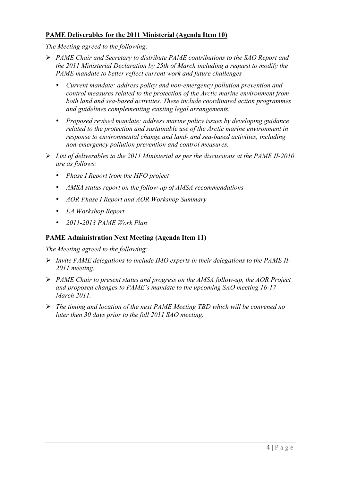## **PAME Deliverables for the 2011 Ministerial (Agenda Item 10)**

*The Meeting agreed to the following:* 

- ! *PAME Chair and Secretary to distribute PAME contributions to the SAO Report and the 2011 Ministerial Declaration by 25th of March including a request to modify the PAME mandate to better reflect current work and future challenges* 
	- *Current mandate: address policy and non-emergency pollution prevention and control measures related to the protection of the Arctic marine environment from both land and sea-based activities. These include coordinated action programmes and guidelines complementing existing legal arrangements.*
	- *Proposed revised mandate: address marine policy issues by developing guidance related to the protection and sustainable use of the Arctic marine environment in response to environmental change and land- and sea-based activities, including non-emergency pollution prevention and control measures.*
- ! *List of deliverables to the 2011 Ministerial as per the discussions at the PAME II-2010 are as follows:* 
	- *Phase I Report from the HFO project*
	- *AMSA status report on the follow-up of AMSA recommendations*
	- *AOR Phase I Report and AOR Workshop Summary*
	- *EA Workshop Report*
	- *2011-2013 PAME Work Plan*

## **PAME Administration Next Meeting (Agenda Item 11)**

*The Meeting agreed to the following:* 

- ! *Invite PAME delegations to include IMO experts in their delegations to the PAME II-2011 meeting.*
- ! *PAME Chair to present status and progress on the AMSA follow-up, the AOR Project and proposed changes to PAME's mandate to the upcoming SAO meeting 16-17 March 2011.*
- ! *The timing and location of the next PAME Meeting TBD which will be convened no later then 30 days prior to the fall 2011 SAO meeting.*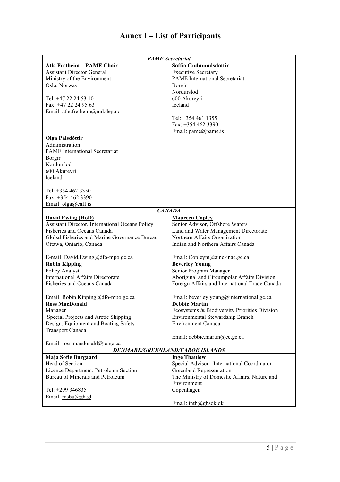# **Annex I – List of Participants**

|                                                 | <b>PAME</b> Secretariat                        |
|-------------------------------------------------|------------------------------------------------|
| Atle Fretheim - PAME Chair                      | Soffia Gudmundsdottir                          |
| <b>Assistant Director General</b>               | <b>Executive Secretary</b>                     |
| Ministry of the Environment                     | <b>PAME</b> International Secretariat          |
| Oslo, Norway                                    | <b>B</b> orgir                                 |
|                                                 | Nordurslod                                     |
| Tel: +47 22 24 53 10                            | 600 Akureyri                                   |
| Fax: +47 22 24 95 63                            | Iceland                                        |
| Email: atle.fretheim@md.dep.no                  |                                                |
|                                                 | Tel: $+3544611355$                             |
|                                                 | Fax: $+3544623390$                             |
|                                                 | Email: pame@pame.is                            |
| Olga Pálsdóttir                                 |                                                |
| Administration                                  |                                                |
| <b>PAME</b> International Secretariat           |                                                |
| Borgir                                          |                                                |
| Nordurslod                                      |                                                |
| 600 Akureyri                                    |                                                |
| Iceland                                         |                                                |
|                                                 |                                                |
| Tel: $+3544623350$                              |                                                |
| Fax: +354 462 3390                              |                                                |
| Email: olga@caff.is                             |                                                |
|                                                 | <b>CANADA</b>                                  |
| <b>David Ewing (HoD)</b>                        | <b>Maureen Copley</b>                          |
| Assistant Director, International Oceans Policy | Senior Advisor, Offshore Waters                |
| Fisheries and Oceans Canada                     | Land and Water Management Directorate          |
| Global Fisheries and Marine Governance Bureau   | Northern Affairs Organization                  |
|                                                 | Indian and Northern Affairs Canada             |
| Ottawa, Ontario, Canada                         |                                                |
| E-mail: David.Ewing@dfo-mpo.gc.ca               | Email: Copleym@ainc-inac.gc.ca                 |
| <b>Robin Kipping</b>                            | <b>Beverley Young</b>                          |
| Policy Analyst                                  | Senior Program Manager                         |
| <b>International Affairs Directorate</b>        | Aboriginal and Circumpolar Affairs Division    |
| Fisheries and Oceans Canada                     | Foreign Affairs and International Trade Canada |
|                                                 |                                                |
| Email: Robin.Kipping@dfo-mpo.gc.ca              | Email: beverley.young@international.gc.ca      |
| <b>Ross MacDonald</b>                           | <b>Debbie Martin</b>                           |
| Manager                                         | Ecosystems & Biodiversity Priorities Division  |
| Special Projects and Arctic Shipping            | Environmental Stewardship Branch               |
| Design, Equipment and Boating Safety            | <b>Environment Canada</b>                      |
| <b>Transport Canada</b>                         |                                                |
|                                                 | Email: debbie.martin@ec.gc.ca                  |
| Email: ross.macdonald@tc.gc.ca                  |                                                |
|                                                 | DENMARK/GREENLAND/FAROE ISLANDS                |
| <b>Maja Sofie Burgaard</b>                      | <b>Inge Thaulow</b>                            |
| Head of Section                                 | Special Advisor - International Coordinator    |
| Licence Department; Petroleum Section           | Greenland Representation                       |
| Bureau of Minerals and Petroleum                | The Ministry of Domestic Affairs, Nature and   |
|                                                 | Environment                                    |
| Tel: +299 346835                                | Copenhagen                                     |
| Email: msbu@gh.gl                               |                                                |
|                                                 | Email: $inth@ghsdk.dk$                         |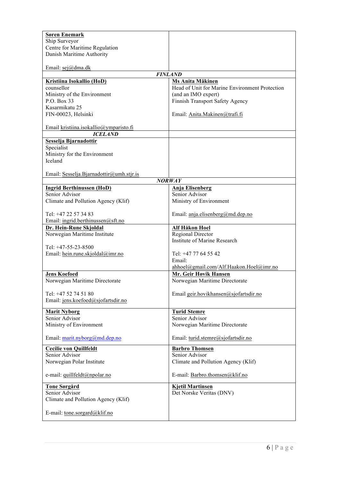| <b>Søren Enemark</b>                                  |                                                |
|-------------------------------------------------------|------------------------------------------------|
| Ship Surveyor                                         |                                                |
| Centre for Maritime Regulation                        |                                                |
| Danish Maritime Authority                             |                                                |
| Email: sej@dma.dk                                     | <b>FINLAND</b>                                 |
| Kristiina Isokallio (HoD)                             | <b>Ms Anita Mäkinen</b>                        |
| counsellor                                            | Head of Unit for Marine Environment Protection |
| Ministry of the Environment                           | (and an IMO expert)                            |
| P.O. Box 33                                           | Finnish Transport Safety Agency                |
| Kasarmikatu 25                                        |                                                |
| FIN-00023, Helsinki                                   | Email: Anita.Makinen@trafi.fi                  |
|                                                       |                                                |
| Email kristiina.isokallio@ymparisto.fi                |                                                |
| <b>ICELAND</b>                                        |                                                |
| Sesselja Bjarnadottir<br>Specialist                   |                                                |
| Ministry for the Environment                          |                                                |
| Iceland                                               |                                                |
|                                                       |                                                |
| Email: Sesselja.Bjarnadottir@umh.stjr.is              |                                                |
|                                                       | <b>NORWAY</b>                                  |
| <b>Ingrid Berthinussen (HoD)</b>                      | <b>Anja Elisenberg</b>                         |
| Senior Advisor<br>Climate and Pollution Agency (Klif) | Senior Advisor<br>Ministry of Environment      |
|                                                       |                                                |
| Tel: +47 22 57 34 83                                  | Email: $\text{anja.}$ elisenberg@md.dep.no     |
| Email: ingrid.berthinussen@sft.no                     |                                                |
| Dr. Hein-Rune Skjoldal                                | Alf Håkon Hoel                                 |
| Norwegian Maritime Institute                          | <b>Regional Director</b>                       |
| Tel: $+47-55-23-8500$                                 | Institute of Marine Research                   |
| Email: hein.rune.skjoldal@imr.no                      | Tel: +47 77 64 55 42                           |
|                                                       | Email:                                         |
|                                                       | ahhoel@gmail.com/Alf.Haakon.Hoel@imr.no        |
| <b>Jens Koefoed</b>                                   | Mr. Geir Høvik Hansen                          |
| Norwegian Maritime Directorate                        | Norwegian Maritime Directorate                 |
|                                                       |                                                |
| Tel: +47 52 74 51 80                                  | Email geir.hovikhansen@sjofartsdir.no          |
| Email: jens.koefoed@sjofartsdir.no                    |                                                |
| <b>Marit Nyborg</b>                                   | <b>Turid Stemre</b>                            |
| Senior Advisor                                        | Senior Advisor                                 |
| Ministry of Environment                               | Norwegian Maritime Directorate                 |
|                                                       |                                                |
| Email: marit.nyborg@md.dep.no                         | Email: turid.stemre@sjofartsdir.no             |
| <b>Cecilie von Quillfeldt</b>                         | <b>Barbro Thomsen</b>                          |
| Senior Advisor                                        | Senior Advisor                                 |
| Norwegian Polar Institute                             | Climate and Pollution Agency (Klif)            |
| e-mail: quillfeldt@npolar.no                          | E-mail: Barbro.thomsen@klif.no                 |
| <b>Tone Sørgård</b>                                   | <b>Kjetil Martinsen</b>                        |
| Senior Advisor                                        | Det Norske Veritas (DNV)                       |
| Climate and Pollution Agency (Klif)                   |                                                |
|                                                       |                                                |
| E-mail: tone.sorgard@klif.no                          |                                                |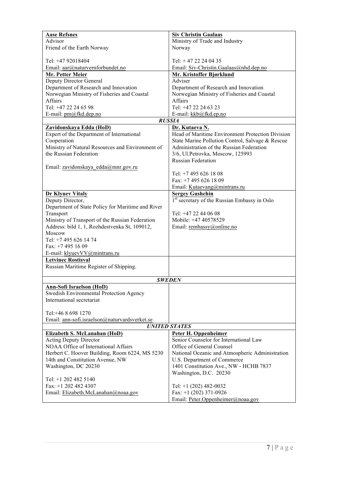| <b>Aase Refsnes</b>                               | <b>Siv Christin Gaalaas</b>                              |
|---------------------------------------------------|----------------------------------------------------------|
| Advisor                                           | Ministry of Trade and Industry                           |
| Friend of the Earth Norway                        | Norway                                                   |
|                                                   |                                                          |
| Tel: +47 92018404                                 | Tel: $+47$ 22 24 04 35                                   |
| Email: aar@naturvernforbundet.no                  | Email: Siv-Christin.Gaalaas@nhd.dep.no                   |
| Mr. Petter Meier                                  | Mr. Kristoffer Bjørklund                                 |
| Deputy Director General                           | Adviser                                                  |
| Department of Research and Innovation             | Department of Research and Innovation                    |
|                                                   |                                                          |
| Norwegian Ministry of Fisheries and Coastal       | Norwegian Ministry of Fisheries and Coastal              |
| Affairs                                           | Affairs                                                  |
| Tel: +47 22 24 65 98                              | Tel: +47 22 24 63 23                                     |
| E-mail: pm@fkd.dep.no                             | E-mail: kkb@fkd.ep.no                                    |
| <b>RUSSIA</b>                                     |                                                          |
| Zavidonskaya Edda (HoD)                           | Dr. Kutaeva N.                                           |
| Expert of the Department of International         | Head of Maritime Environment Protection Division         |
| Cooperation                                       | State Marine Pollution Control, Salvage & Rescue         |
|                                                   | Administration of the Russian Federation                 |
| Ministry of Natural Resources and Environment of  |                                                          |
| the Russian Federation                            | 3/6, Ul.Petrovka, Moscow, 125993                         |
|                                                   | <b>Russian Federation</b>                                |
| Email: zavidonskaya edda@mnr.gov.ru               |                                                          |
|                                                   | Tel: $+74956261808$                                      |
|                                                   | Fax: +7 495 626 18 09                                    |
|                                                   | Email: Kutaevang@mintrans.ru                             |
| Dr Klyuev Vitaly                                  | <b>Sergey Gushchin</b>                                   |
| Deputy Director,                                  | 1 <sup>st</sup> secretary of the Russian Embassy in Oslo |
| Department of State Policy for Maritime and River |                                                          |
|                                                   |                                                          |
| Transport                                         | Tel: +47 22 44 06 08                                     |
| Ministry of Transport of the Russian Federation   | Mobile: +47 40578529                                     |
| Address: bild 1, 1, Rozhdestvenka St, 109012,     | Email: rembassy@online.no                                |
| Moscow                                            |                                                          |
| Tel: +7 495 626 14 74                             |                                                          |
| Fax: +7 495 16 09                                 |                                                          |
| E-mail: klyuevVV@mintrans.ru                      |                                                          |
| <b>Letvinec Rostisval</b>                         |                                                          |
| Russian Maritime Register of Shipping.            |                                                          |
|                                                   |                                                          |
| <b>SWEDEN</b>                                     |                                                          |
|                                                   |                                                          |
| Ann-Sofi Israelson (HoD)                          |                                                          |
| Swedish Environmental Protection Agency           |                                                          |
| International secretariat                         |                                                          |
|                                                   |                                                          |
| Tel:+46 8 698 1270                                |                                                          |
| Email: ann-sofi.israelson@naturvardsverket.se     |                                                          |
|                                                   | <b>UNITED STATES</b>                                     |
| Elizabeth S. McLanahan (HoD)                      | Peter H. Oppenheimer                                     |
| <b>Acting Deputy Director</b>                     | Senior Counselor for International Law                   |
| NOAA Office of International Affairs              | Office of General Counsel                                |
|                                                   |                                                          |
| Herbert C. Hoover Building, Room 6224, MS 5230    | National Oceanic and Atmospheric Administration          |
| 14th and Constitution Avenue, NW                  | U.S. Department of Commerce                              |
| Washington, DC 20230                              | 1401 Constitution Ave., NW - HCHB 7837                   |
|                                                   | Washington, D.C. 20230                                   |
| Tel: +1 202 482 5140                              |                                                          |
| Fax: $+1$ 202 482 4307                            | Tel: $+1$ (202) 482-0032                                 |
| Email: Elizabeth.McLanahan@noaa.gov               | Fax: $+1$ (202) 371-0926                                 |
|                                                   | Email: Peter.Oppenheimer@noaa.gov                        |
|                                                   |                                                          |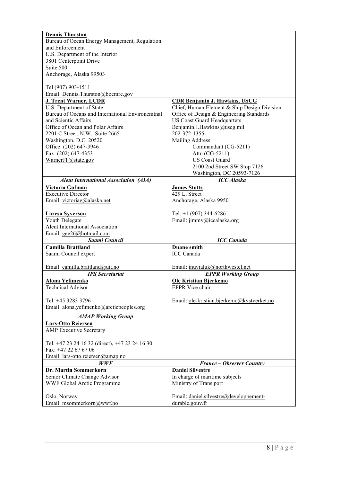| Bureau of Ocean Energy Management, Regulation<br>and Enforcement<br>U.S. Department of the Interior<br>3801 Centerpoint Drive<br>Suite 500<br>Anchorage, Alaska 99503<br>Tel (907) 903-1511<br>Email: Dennis.Thurston@boemre.gov<br>J. Trent Warner, LCDR<br><b>CDR Benjamin J. Hawkins, USCG</b><br>U.S. Department of State<br>Chief, Human Element & Ship Design Division<br>Bureau of Oceans and International Environemtnal<br>Office of Design & Engineering Standards<br><b>US Coast Guard Headquarters</b><br>and Scientic Affairs<br>Office of Ocean and Polar Affairs<br>Benjamin.J.Hawkins@uscg.mil<br>202-372-1355<br>2201 C Street, N.W., Suite 2665<br>Washington, D.C. 20520<br>Mailing Address:<br>Office: (202) 647-3946<br>Commandant (CG-5211)<br>Fax: (202) 647-4353<br>Attn (CG-5211)<br><b>US Coast Guard</b><br>WarnerJT@state.gov<br>2100 2nd Street SW Stop 7126<br>Washington, DC 20593-7126<br><b>Aleut International Association (AIA)</b><br><b>ICC</b> Alaska<br>Victoria Gofman<br><b>James Stotts</b><br>429 L. Street<br><b>Executive Director</b><br>Email: victoriag@alaska.net<br>Anchorage, Alaska 99501<br>Tel: $+1$ (907) 344-6286<br><b>Laresa Syverson</b><br>Youth Delegate<br>Email: jimmy@iccalaska.org<br>Aleut International Association<br>Email: gee26@hotmail.com<br>Saami Council<br><b>ICC</b> Canada<br><b>Camilla Brattland</b><br>Duane smith<br><b>ICC</b> Canada<br>Saami Council expert<br>Email: camilla.brattland@uit.no<br>Email: inuvialuk@northwestel.net<br><b>IPS</b> Secretariat<br><b>EPPR Working Group</b><br>Ole Kristian Bjerkemo<br>Alona Yefimenko<br><b>Technical Advisor</b><br>EPPR Vice chair<br>Tel: +45 3283 3796<br>Email: ole-kristian.bjerkemo@kystverket.no<br>Email: alona.yefimenko@arcticpeoples.org<br><b>AMAP Working Group</b><br><b>Lars-Otto Reiersen</b><br><b>AMP</b> Executive Secretary<br>Tel: +47 23 24 16 32 (direct), +47 23 24 16 30<br>Fax: +47 22 67 67 06<br>Email: lars-otto.reiersen@amap.no<br><b>WWF</b><br><b>France - Observer Country</b><br><b>Daniel Silvestre</b><br>Dr. Martin Sommerkorn<br>In charge of maritime subjects<br>Senior Climate Change Advisor<br>WWF Global Arctic Programme<br>Ministry of Trans port<br>Oslo, Norway<br>Email: daniel.silvestre@developpement-<br>Email: msommerkorn@wwf.no<br>durable.gouv.fr | <b>Dennis Thurston</b> |  |
|--------------------------------------------------------------------------------------------------------------------------------------------------------------------------------------------------------------------------------------------------------------------------------------------------------------------------------------------------------------------------------------------------------------------------------------------------------------------------------------------------------------------------------------------------------------------------------------------------------------------------------------------------------------------------------------------------------------------------------------------------------------------------------------------------------------------------------------------------------------------------------------------------------------------------------------------------------------------------------------------------------------------------------------------------------------------------------------------------------------------------------------------------------------------------------------------------------------------------------------------------------------------------------------------------------------------------------------------------------------------------------------------------------------------------------------------------------------------------------------------------------------------------------------------------------------------------------------------------------------------------------------------------------------------------------------------------------------------------------------------------------------------------------------------------------------------------------------------------------------------------------------------------------------------------------------------------------------------------------------------------------------------------------------------------------------------------------------------------------------------------------------------------------------------------------------------------------------------------------------------------------------------------------------------------------------------------------------------------|------------------------|--|
|                                                                                                                                                                                                                                                                                                                                                                                                                                                                                                                                                                                                                                                                                                                                                                                                                                                                                                                                                                                                                                                                                                                                                                                                                                                                                                                                                                                                                                                                                                                                                                                                                                                                                                                                                                                                                                                                                                                                                                                                                                                                                                                                                                                                                                                                                                                                                  |                        |  |
|                                                                                                                                                                                                                                                                                                                                                                                                                                                                                                                                                                                                                                                                                                                                                                                                                                                                                                                                                                                                                                                                                                                                                                                                                                                                                                                                                                                                                                                                                                                                                                                                                                                                                                                                                                                                                                                                                                                                                                                                                                                                                                                                                                                                                                                                                                                                                  |                        |  |
|                                                                                                                                                                                                                                                                                                                                                                                                                                                                                                                                                                                                                                                                                                                                                                                                                                                                                                                                                                                                                                                                                                                                                                                                                                                                                                                                                                                                                                                                                                                                                                                                                                                                                                                                                                                                                                                                                                                                                                                                                                                                                                                                                                                                                                                                                                                                                  |                        |  |
|                                                                                                                                                                                                                                                                                                                                                                                                                                                                                                                                                                                                                                                                                                                                                                                                                                                                                                                                                                                                                                                                                                                                                                                                                                                                                                                                                                                                                                                                                                                                                                                                                                                                                                                                                                                                                                                                                                                                                                                                                                                                                                                                                                                                                                                                                                                                                  |                        |  |
|                                                                                                                                                                                                                                                                                                                                                                                                                                                                                                                                                                                                                                                                                                                                                                                                                                                                                                                                                                                                                                                                                                                                                                                                                                                                                                                                                                                                                                                                                                                                                                                                                                                                                                                                                                                                                                                                                                                                                                                                                                                                                                                                                                                                                                                                                                                                                  |                        |  |
|                                                                                                                                                                                                                                                                                                                                                                                                                                                                                                                                                                                                                                                                                                                                                                                                                                                                                                                                                                                                                                                                                                                                                                                                                                                                                                                                                                                                                                                                                                                                                                                                                                                                                                                                                                                                                                                                                                                                                                                                                                                                                                                                                                                                                                                                                                                                                  |                        |  |
|                                                                                                                                                                                                                                                                                                                                                                                                                                                                                                                                                                                                                                                                                                                                                                                                                                                                                                                                                                                                                                                                                                                                                                                                                                                                                                                                                                                                                                                                                                                                                                                                                                                                                                                                                                                                                                                                                                                                                                                                                                                                                                                                                                                                                                                                                                                                                  |                        |  |
|                                                                                                                                                                                                                                                                                                                                                                                                                                                                                                                                                                                                                                                                                                                                                                                                                                                                                                                                                                                                                                                                                                                                                                                                                                                                                                                                                                                                                                                                                                                                                                                                                                                                                                                                                                                                                                                                                                                                                                                                                                                                                                                                                                                                                                                                                                                                                  |                        |  |
|                                                                                                                                                                                                                                                                                                                                                                                                                                                                                                                                                                                                                                                                                                                                                                                                                                                                                                                                                                                                                                                                                                                                                                                                                                                                                                                                                                                                                                                                                                                                                                                                                                                                                                                                                                                                                                                                                                                                                                                                                                                                                                                                                                                                                                                                                                                                                  |                        |  |
|                                                                                                                                                                                                                                                                                                                                                                                                                                                                                                                                                                                                                                                                                                                                                                                                                                                                                                                                                                                                                                                                                                                                                                                                                                                                                                                                                                                                                                                                                                                                                                                                                                                                                                                                                                                                                                                                                                                                                                                                                                                                                                                                                                                                                                                                                                                                                  |                        |  |
|                                                                                                                                                                                                                                                                                                                                                                                                                                                                                                                                                                                                                                                                                                                                                                                                                                                                                                                                                                                                                                                                                                                                                                                                                                                                                                                                                                                                                                                                                                                                                                                                                                                                                                                                                                                                                                                                                                                                                                                                                                                                                                                                                                                                                                                                                                                                                  |                        |  |
|                                                                                                                                                                                                                                                                                                                                                                                                                                                                                                                                                                                                                                                                                                                                                                                                                                                                                                                                                                                                                                                                                                                                                                                                                                                                                                                                                                                                                                                                                                                                                                                                                                                                                                                                                                                                                                                                                                                                                                                                                                                                                                                                                                                                                                                                                                                                                  |                        |  |
|                                                                                                                                                                                                                                                                                                                                                                                                                                                                                                                                                                                                                                                                                                                                                                                                                                                                                                                                                                                                                                                                                                                                                                                                                                                                                                                                                                                                                                                                                                                                                                                                                                                                                                                                                                                                                                                                                                                                                                                                                                                                                                                                                                                                                                                                                                                                                  |                        |  |
|                                                                                                                                                                                                                                                                                                                                                                                                                                                                                                                                                                                                                                                                                                                                                                                                                                                                                                                                                                                                                                                                                                                                                                                                                                                                                                                                                                                                                                                                                                                                                                                                                                                                                                                                                                                                                                                                                                                                                                                                                                                                                                                                                                                                                                                                                                                                                  |                        |  |
|                                                                                                                                                                                                                                                                                                                                                                                                                                                                                                                                                                                                                                                                                                                                                                                                                                                                                                                                                                                                                                                                                                                                                                                                                                                                                                                                                                                                                                                                                                                                                                                                                                                                                                                                                                                                                                                                                                                                                                                                                                                                                                                                                                                                                                                                                                                                                  |                        |  |
|                                                                                                                                                                                                                                                                                                                                                                                                                                                                                                                                                                                                                                                                                                                                                                                                                                                                                                                                                                                                                                                                                                                                                                                                                                                                                                                                                                                                                                                                                                                                                                                                                                                                                                                                                                                                                                                                                                                                                                                                                                                                                                                                                                                                                                                                                                                                                  |                        |  |
|                                                                                                                                                                                                                                                                                                                                                                                                                                                                                                                                                                                                                                                                                                                                                                                                                                                                                                                                                                                                                                                                                                                                                                                                                                                                                                                                                                                                                                                                                                                                                                                                                                                                                                                                                                                                                                                                                                                                                                                                                                                                                                                                                                                                                                                                                                                                                  |                        |  |
|                                                                                                                                                                                                                                                                                                                                                                                                                                                                                                                                                                                                                                                                                                                                                                                                                                                                                                                                                                                                                                                                                                                                                                                                                                                                                                                                                                                                                                                                                                                                                                                                                                                                                                                                                                                                                                                                                                                                                                                                                                                                                                                                                                                                                                                                                                                                                  |                        |  |
|                                                                                                                                                                                                                                                                                                                                                                                                                                                                                                                                                                                                                                                                                                                                                                                                                                                                                                                                                                                                                                                                                                                                                                                                                                                                                                                                                                                                                                                                                                                                                                                                                                                                                                                                                                                                                                                                                                                                                                                                                                                                                                                                                                                                                                                                                                                                                  |                        |  |
|                                                                                                                                                                                                                                                                                                                                                                                                                                                                                                                                                                                                                                                                                                                                                                                                                                                                                                                                                                                                                                                                                                                                                                                                                                                                                                                                                                                                                                                                                                                                                                                                                                                                                                                                                                                                                                                                                                                                                                                                                                                                                                                                                                                                                                                                                                                                                  |                        |  |
|                                                                                                                                                                                                                                                                                                                                                                                                                                                                                                                                                                                                                                                                                                                                                                                                                                                                                                                                                                                                                                                                                                                                                                                                                                                                                                                                                                                                                                                                                                                                                                                                                                                                                                                                                                                                                                                                                                                                                                                                                                                                                                                                                                                                                                                                                                                                                  |                        |  |
|                                                                                                                                                                                                                                                                                                                                                                                                                                                                                                                                                                                                                                                                                                                                                                                                                                                                                                                                                                                                                                                                                                                                                                                                                                                                                                                                                                                                                                                                                                                                                                                                                                                                                                                                                                                                                                                                                                                                                                                                                                                                                                                                                                                                                                                                                                                                                  |                        |  |
|                                                                                                                                                                                                                                                                                                                                                                                                                                                                                                                                                                                                                                                                                                                                                                                                                                                                                                                                                                                                                                                                                                                                                                                                                                                                                                                                                                                                                                                                                                                                                                                                                                                                                                                                                                                                                                                                                                                                                                                                                                                                                                                                                                                                                                                                                                                                                  |                        |  |
|                                                                                                                                                                                                                                                                                                                                                                                                                                                                                                                                                                                                                                                                                                                                                                                                                                                                                                                                                                                                                                                                                                                                                                                                                                                                                                                                                                                                                                                                                                                                                                                                                                                                                                                                                                                                                                                                                                                                                                                                                                                                                                                                                                                                                                                                                                                                                  |                        |  |
|                                                                                                                                                                                                                                                                                                                                                                                                                                                                                                                                                                                                                                                                                                                                                                                                                                                                                                                                                                                                                                                                                                                                                                                                                                                                                                                                                                                                                                                                                                                                                                                                                                                                                                                                                                                                                                                                                                                                                                                                                                                                                                                                                                                                                                                                                                                                                  |                        |  |
|                                                                                                                                                                                                                                                                                                                                                                                                                                                                                                                                                                                                                                                                                                                                                                                                                                                                                                                                                                                                                                                                                                                                                                                                                                                                                                                                                                                                                                                                                                                                                                                                                                                                                                                                                                                                                                                                                                                                                                                                                                                                                                                                                                                                                                                                                                                                                  |                        |  |
|                                                                                                                                                                                                                                                                                                                                                                                                                                                                                                                                                                                                                                                                                                                                                                                                                                                                                                                                                                                                                                                                                                                                                                                                                                                                                                                                                                                                                                                                                                                                                                                                                                                                                                                                                                                                                                                                                                                                                                                                                                                                                                                                                                                                                                                                                                                                                  |                        |  |
|                                                                                                                                                                                                                                                                                                                                                                                                                                                                                                                                                                                                                                                                                                                                                                                                                                                                                                                                                                                                                                                                                                                                                                                                                                                                                                                                                                                                                                                                                                                                                                                                                                                                                                                                                                                                                                                                                                                                                                                                                                                                                                                                                                                                                                                                                                                                                  |                        |  |
|                                                                                                                                                                                                                                                                                                                                                                                                                                                                                                                                                                                                                                                                                                                                                                                                                                                                                                                                                                                                                                                                                                                                                                                                                                                                                                                                                                                                                                                                                                                                                                                                                                                                                                                                                                                                                                                                                                                                                                                                                                                                                                                                                                                                                                                                                                                                                  |                        |  |
|                                                                                                                                                                                                                                                                                                                                                                                                                                                                                                                                                                                                                                                                                                                                                                                                                                                                                                                                                                                                                                                                                                                                                                                                                                                                                                                                                                                                                                                                                                                                                                                                                                                                                                                                                                                                                                                                                                                                                                                                                                                                                                                                                                                                                                                                                                                                                  |                        |  |
|                                                                                                                                                                                                                                                                                                                                                                                                                                                                                                                                                                                                                                                                                                                                                                                                                                                                                                                                                                                                                                                                                                                                                                                                                                                                                                                                                                                                                                                                                                                                                                                                                                                                                                                                                                                                                                                                                                                                                                                                                                                                                                                                                                                                                                                                                                                                                  |                        |  |
|                                                                                                                                                                                                                                                                                                                                                                                                                                                                                                                                                                                                                                                                                                                                                                                                                                                                                                                                                                                                                                                                                                                                                                                                                                                                                                                                                                                                                                                                                                                                                                                                                                                                                                                                                                                                                                                                                                                                                                                                                                                                                                                                                                                                                                                                                                                                                  |                        |  |
|                                                                                                                                                                                                                                                                                                                                                                                                                                                                                                                                                                                                                                                                                                                                                                                                                                                                                                                                                                                                                                                                                                                                                                                                                                                                                                                                                                                                                                                                                                                                                                                                                                                                                                                                                                                                                                                                                                                                                                                                                                                                                                                                                                                                                                                                                                                                                  |                        |  |
|                                                                                                                                                                                                                                                                                                                                                                                                                                                                                                                                                                                                                                                                                                                                                                                                                                                                                                                                                                                                                                                                                                                                                                                                                                                                                                                                                                                                                                                                                                                                                                                                                                                                                                                                                                                                                                                                                                                                                                                                                                                                                                                                                                                                                                                                                                                                                  |                        |  |
|                                                                                                                                                                                                                                                                                                                                                                                                                                                                                                                                                                                                                                                                                                                                                                                                                                                                                                                                                                                                                                                                                                                                                                                                                                                                                                                                                                                                                                                                                                                                                                                                                                                                                                                                                                                                                                                                                                                                                                                                                                                                                                                                                                                                                                                                                                                                                  |                        |  |
|                                                                                                                                                                                                                                                                                                                                                                                                                                                                                                                                                                                                                                                                                                                                                                                                                                                                                                                                                                                                                                                                                                                                                                                                                                                                                                                                                                                                                                                                                                                                                                                                                                                                                                                                                                                                                                                                                                                                                                                                                                                                                                                                                                                                                                                                                                                                                  |                        |  |
|                                                                                                                                                                                                                                                                                                                                                                                                                                                                                                                                                                                                                                                                                                                                                                                                                                                                                                                                                                                                                                                                                                                                                                                                                                                                                                                                                                                                                                                                                                                                                                                                                                                                                                                                                                                                                                                                                                                                                                                                                                                                                                                                                                                                                                                                                                                                                  |                        |  |
|                                                                                                                                                                                                                                                                                                                                                                                                                                                                                                                                                                                                                                                                                                                                                                                                                                                                                                                                                                                                                                                                                                                                                                                                                                                                                                                                                                                                                                                                                                                                                                                                                                                                                                                                                                                                                                                                                                                                                                                                                                                                                                                                                                                                                                                                                                                                                  |                        |  |
|                                                                                                                                                                                                                                                                                                                                                                                                                                                                                                                                                                                                                                                                                                                                                                                                                                                                                                                                                                                                                                                                                                                                                                                                                                                                                                                                                                                                                                                                                                                                                                                                                                                                                                                                                                                                                                                                                                                                                                                                                                                                                                                                                                                                                                                                                                                                                  |                        |  |
|                                                                                                                                                                                                                                                                                                                                                                                                                                                                                                                                                                                                                                                                                                                                                                                                                                                                                                                                                                                                                                                                                                                                                                                                                                                                                                                                                                                                                                                                                                                                                                                                                                                                                                                                                                                                                                                                                                                                                                                                                                                                                                                                                                                                                                                                                                                                                  |                        |  |
|                                                                                                                                                                                                                                                                                                                                                                                                                                                                                                                                                                                                                                                                                                                                                                                                                                                                                                                                                                                                                                                                                                                                                                                                                                                                                                                                                                                                                                                                                                                                                                                                                                                                                                                                                                                                                                                                                                                                                                                                                                                                                                                                                                                                                                                                                                                                                  |                        |  |
|                                                                                                                                                                                                                                                                                                                                                                                                                                                                                                                                                                                                                                                                                                                                                                                                                                                                                                                                                                                                                                                                                                                                                                                                                                                                                                                                                                                                                                                                                                                                                                                                                                                                                                                                                                                                                                                                                                                                                                                                                                                                                                                                                                                                                                                                                                                                                  |                        |  |
|                                                                                                                                                                                                                                                                                                                                                                                                                                                                                                                                                                                                                                                                                                                                                                                                                                                                                                                                                                                                                                                                                                                                                                                                                                                                                                                                                                                                                                                                                                                                                                                                                                                                                                                                                                                                                                                                                                                                                                                                                                                                                                                                                                                                                                                                                                                                                  |                        |  |
|                                                                                                                                                                                                                                                                                                                                                                                                                                                                                                                                                                                                                                                                                                                                                                                                                                                                                                                                                                                                                                                                                                                                                                                                                                                                                                                                                                                                                                                                                                                                                                                                                                                                                                                                                                                                                                                                                                                                                                                                                                                                                                                                                                                                                                                                                                                                                  |                        |  |
|                                                                                                                                                                                                                                                                                                                                                                                                                                                                                                                                                                                                                                                                                                                                                                                                                                                                                                                                                                                                                                                                                                                                                                                                                                                                                                                                                                                                                                                                                                                                                                                                                                                                                                                                                                                                                                                                                                                                                                                                                                                                                                                                                                                                                                                                                                                                                  |                        |  |
|                                                                                                                                                                                                                                                                                                                                                                                                                                                                                                                                                                                                                                                                                                                                                                                                                                                                                                                                                                                                                                                                                                                                                                                                                                                                                                                                                                                                                                                                                                                                                                                                                                                                                                                                                                                                                                                                                                                                                                                                                                                                                                                                                                                                                                                                                                                                                  |                        |  |
|                                                                                                                                                                                                                                                                                                                                                                                                                                                                                                                                                                                                                                                                                                                                                                                                                                                                                                                                                                                                                                                                                                                                                                                                                                                                                                                                                                                                                                                                                                                                                                                                                                                                                                                                                                                                                                                                                                                                                                                                                                                                                                                                                                                                                                                                                                                                                  |                        |  |
|                                                                                                                                                                                                                                                                                                                                                                                                                                                                                                                                                                                                                                                                                                                                                                                                                                                                                                                                                                                                                                                                                                                                                                                                                                                                                                                                                                                                                                                                                                                                                                                                                                                                                                                                                                                                                                                                                                                                                                                                                                                                                                                                                                                                                                                                                                                                                  |                        |  |
|                                                                                                                                                                                                                                                                                                                                                                                                                                                                                                                                                                                                                                                                                                                                                                                                                                                                                                                                                                                                                                                                                                                                                                                                                                                                                                                                                                                                                                                                                                                                                                                                                                                                                                                                                                                                                                                                                                                                                                                                                                                                                                                                                                                                                                                                                                                                                  |                        |  |
|                                                                                                                                                                                                                                                                                                                                                                                                                                                                                                                                                                                                                                                                                                                                                                                                                                                                                                                                                                                                                                                                                                                                                                                                                                                                                                                                                                                                                                                                                                                                                                                                                                                                                                                                                                                                                                                                                                                                                                                                                                                                                                                                                                                                                                                                                                                                                  |                        |  |
|                                                                                                                                                                                                                                                                                                                                                                                                                                                                                                                                                                                                                                                                                                                                                                                                                                                                                                                                                                                                                                                                                                                                                                                                                                                                                                                                                                                                                                                                                                                                                                                                                                                                                                                                                                                                                                                                                                                                                                                                                                                                                                                                                                                                                                                                                                                                                  |                        |  |
|                                                                                                                                                                                                                                                                                                                                                                                                                                                                                                                                                                                                                                                                                                                                                                                                                                                                                                                                                                                                                                                                                                                                                                                                                                                                                                                                                                                                                                                                                                                                                                                                                                                                                                                                                                                                                                                                                                                                                                                                                                                                                                                                                                                                                                                                                                                                                  |                        |  |
|                                                                                                                                                                                                                                                                                                                                                                                                                                                                                                                                                                                                                                                                                                                                                                                                                                                                                                                                                                                                                                                                                                                                                                                                                                                                                                                                                                                                                                                                                                                                                                                                                                                                                                                                                                                                                                                                                                                                                                                                                                                                                                                                                                                                                                                                                                                                                  |                        |  |
|                                                                                                                                                                                                                                                                                                                                                                                                                                                                                                                                                                                                                                                                                                                                                                                                                                                                                                                                                                                                                                                                                                                                                                                                                                                                                                                                                                                                                                                                                                                                                                                                                                                                                                                                                                                                                                                                                                                                                                                                                                                                                                                                                                                                                                                                                                                                                  |                        |  |
|                                                                                                                                                                                                                                                                                                                                                                                                                                                                                                                                                                                                                                                                                                                                                                                                                                                                                                                                                                                                                                                                                                                                                                                                                                                                                                                                                                                                                                                                                                                                                                                                                                                                                                                                                                                                                                                                                                                                                                                                                                                                                                                                                                                                                                                                                                                                                  |                        |  |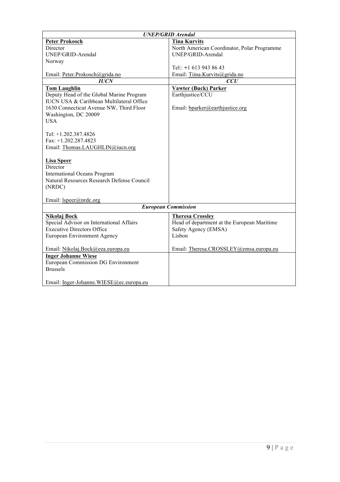| <b>UNEP/GRID Arendal</b>                   |                                             |  |
|--------------------------------------------|---------------------------------------------|--|
| <b>Peter Prokosch</b>                      | <b>Tina Kurvits</b>                         |  |
| Director                                   | North American Coordinator, Polar Programme |  |
| UNEP/GRID-Arendal                          | UNEP/GRID-Arendal                           |  |
| Norway                                     |                                             |  |
|                                            | Tel:: $+1$ 613 943 86 43                    |  |
| Email: Peter.Prokosch@grida.no             | Email: Tiina.Kurvits@grida.no               |  |
| <b>IUCN</b>                                | CCU                                         |  |
| <b>Tom Laughlin</b>                        | Vawter (Buck) Parker                        |  |
| Deputy Head of the Global Marine Program   | Earthjustice/CCU                            |  |
| IUCN USA & Caribbean Multilateral Office   |                                             |  |
| 1630 Connecticut Avenue NW, Third Floor    | Email: bparker@earthjustice.org             |  |
| Washington, DC 20009                       |                                             |  |
| <b>USA</b>                                 |                                             |  |
|                                            |                                             |  |
| Tel: +1.202.387.4826                       |                                             |  |
| Fax: $+1.202.287.4823$                     |                                             |  |
| Email: Thomas.LAUGHLIN@iucn.org            |                                             |  |
|                                            |                                             |  |
| <b>Lisa Speer</b>                          |                                             |  |
| Director                                   |                                             |  |
| <b>International Oceans Program</b>        |                                             |  |
| Natural Resources Research Defense Council |                                             |  |
| (NRDC)                                     |                                             |  |
|                                            |                                             |  |
| Email: lspeer@nrdc.org                     |                                             |  |
| <b>European Commission</b>                 |                                             |  |
| Nikolaj Bock                               | <b>Theresa Crossley</b>                     |  |
| Special Advisor on International Affairs   | Head of department at the European Maritime |  |
| <b>Executive Directors Office</b>          | Safety Agency (EMSA)                        |  |
| European Environment Agency                | Lisbon                                      |  |
|                                            |                                             |  |
| Email: Nikolaj.Bock@eea.europa.eu          | Email: Theresa.CROSSLEY@emsa.europa.eu      |  |
| <b>Inger Johanne Wiese</b>                 |                                             |  |
| <b>European Commission DG Environment</b>  |                                             |  |
| <b>Brussels</b>                            |                                             |  |
|                                            |                                             |  |
| Email: Inger-Johanne.WIESE@ec.europa.eu    |                                             |  |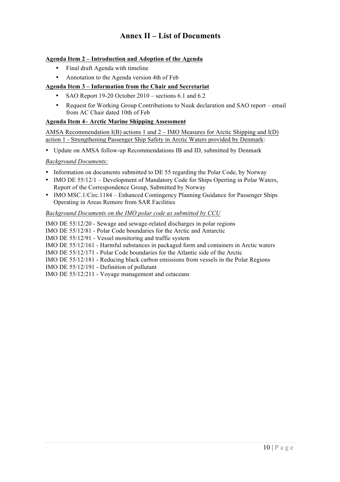## **Annex II – List of Documents**

### **Agenda Item 2 – Introduction and Adoption of the Agenda**

- Final draft Agenda with timeline
- Annotation to the Agenda version 4th of Feb

## **Agenda Item 3 – Information from the Chair and Secretariat**

- SAO Report 19-20 October 2010 sections 6.1 and 6.2
- Request for Working Group Contributions to Nuuk declaration and SAO report email from AC Chair dated 10th of Feb

#### **Agenda Item 4– Arctic Marine Shipping Assessment**

AMSA Recommendation I(B) actions 1 and 2 – IMO Measures for Arctic Shipping and I(D) action 1 - Strengthening Passenger Ship Safety in Arctic Waters provided by Denmark:

• Update on AMSA follow-up Recommendations IB and ID, submitted by Denmark

*Background Documents:*

- Information on documents submitted to DE 55 regarding the Polar Code, by Norway
- IMO DE 55/12/1 Development of Mandatory Code for Ships Operting in Polar Waters, Report of the Correspondence Group, Submitted by Norway
- IMO MSC.1/Circ.1184 Enhanced Contingency Planning Guidance for Passenger Ships Operating in Areas Remore from SAR Facilities

#### *Background Documents on the IMO polar code as submitted by CCU*

IMO DE 55/12/20 - Sewage and sewage-related discharges in polar regions IMO DE 55/12/81 - Polar Code boundaries for the Arctic and Antarctic IMO DE 55/12/91 - Vessel monitoring and traffic system IMO DE 55/12/161 - Harmful substances in packaged form and containers in Arctic waters IMO DE 55/12/171 - Polar Code boundaries for the Atlantic side of the Arctic IMO DE 55/12/181 - Reducing black carbon emissions from vessels in the Polar Regions IMO DE 55/12/191 - Definition of pollutant IMO DE 55/12/211 - Voyage management and cetaceans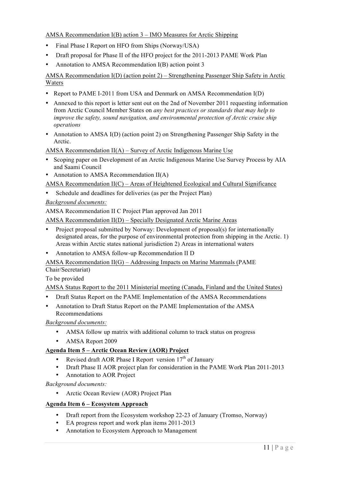## AMSA Recommendation I(B) action 3 – IMO Measures for Arctic Shipping

- Final Phase I Report on HFO from Ships (Norway/USA)
- Draft proposal for Phase II of the HFO project for the 2011-2013 PAME Work Plan
- Annotation to AMSA Recommendation I(B) action point 3

#### AMSA Recommendation I(D) (action point 2) – Strengthening Passenger Ship Safety in Arctic Waters

- Report to PAME I-2011 from USA and Denmark on AMSA Recommendation I(D)
- Annexed to this report is letter sent out on the 2nd of November 2011 requesting information from Arctic Council Member States on *any best practices or standards that may help to improve the safety, sound navigation, and environmental protection of Arctic cruise ship operations*
- Annotation to AMSA I(D) (action point 2) on Strengthening Passenger Ship Safety in the Arctic.

AMSA Recommendation  $II(A)$  – Survey of Arctic Indigenous Marine Use

- Scoping paper on Development of an Arctic Indigenous Marine Use Survey Process by AIA and Saami Council
- Annotation to AMSA Recommendation II(A)

AMSA Recommendation  $II(C)$  – Areas of Heightened Ecological and Cultural Significance

Schedule and deadlines for deliveries (as per the Project Plan)

#### *Background documents:*

AMSA Recommendation II C Project Plan approved Jan 2011

AMSA Recommendation II(D) – Specially Designated Arctic Marine Areas

- Project proposal submitted by Norway: Development of proposal(s) for internationally designated areas, for the purpose of environmental protection from shipping in the Arctic. 1) Areas within Arctic states national jurisdiction 2) Areas in international waters
- Annotation to AMSA follow-up Recommendation II D

AMSA Recommendation II(G) – Addressing Impacts on Marine Mammals (PAME

Chair/Secretariat)

To be provided

AMSA Status Report to the 2011 Ministerial meeting (Canada, Finland and the United States)

- Draft Status Report on the PAME Implementation of the AMSA Recommendations
- Annotation to Draft Status Report on the PAME Implementation of the AMSA Recommendations

*Background documents:*

- AMSA follow up matrix with additional column to track status on progress
- AMSA Report 2009

## **Agenda Item 5 – Arctic Ocean Review (AOR) Project**

- Revised draft AOR Phase I Report version  $17<sup>th</sup>$  of January
- Draft Phase II AOR project plan for consideration in the PAME Work Plan 2011-2013
- Annotation to AOR Project

*Background documents:*

• Arctic Ocean Review (AOR) Project Plan

#### **Agenda Item 6 – Ecosystem Approach**

- Draft report from the Ecosystem workshop 22-23 of January (Tromso, Norway)
- EA progress report and work plan items 2011-2013
- Annotation to Ecosystem Approach to Management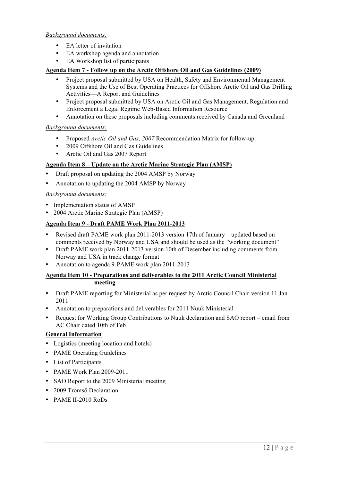#### *Background documents:*

- EA letter of invitation
- EA workshop agenda and annotation
- EA Workshop list of participants

## **Agenda Item 7 - Follow up on the Arctic Offshore Oil and Gas Guidelines (2009)**

- Project proposal submitted by USA on Health, Safety and Environmental Management Systems and the Use of Best Operating Practices for Offshore Arctic Oil and Gas Drilling Activities—A Report and Guidelines
- Project proposal submitted by USA on Arctic Oil and Gas Management, Regulation and Enforcement a Legal Regime Web-Based Information Resource
- Annotation on these proposals including comments received by Canada and Greenland

#### *Background documents:*

- Proposed *Arctic Oil and Gas, 2007* Recommendation Matrix for follow-up
- 2009 Offshore Oil and Gas Guidelines
- Arctic Oil and Gas 2007 Report

## **Agenda Item 8 – Update on the Arctic Marine Strategic Plan (AMSP)**

- Draft proposal on updating the 2004 AMSP by Norway
- Annotation to updating the 2004 AMSP by Norway

## *Background documents:*

- Implementation status of AMSP
- 2004 Arctic Marine Strategic Plan (AMSP)

## **Agenda Item 9 - Draft PAME Work Plan 2011-2013**

- Revised draft PAME work plan 2011-2013 version 17th of January updated based on comments received by Norway and USA and should be used as the "working document"
- Draft PAME work plan 2011-2013 version 10th of December including comments from Norway and USA in track change format
- Annotation to agenda 9-PAME work plan 2011-2013

## **Agenda Item 10 - Preparations and deliverables to the 2011 Arctic Council Ministerial meeting**

- Draft PAME reporting for Ministerial as per request by Arctic Council Chair-version 11 Jan 2011
- Annotation to preparations and deliverables for 2011 Nuuk Ministerial
- Request for Working Group Contributions to Nuuk declaration and SAO report email from AC Chair dated 10th of Feb

#### **General Information**

- Logistics (meeting location and hotels)
- PAME Operating Guidelines
- List of Participants
- PAME Work Plan 2009-2011
- SAO Report to the 2009 Ministerial meeting
- 2009 Tromsö Declaration
- PAME II-2010 RoDs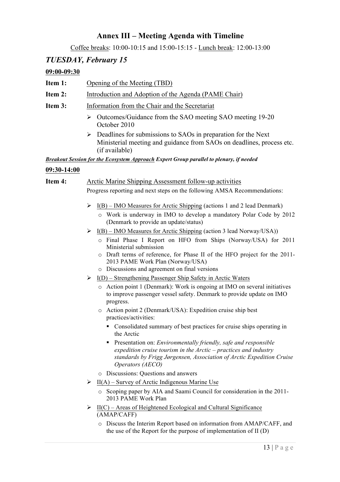## **Annex III – Meeting Agenda with Timeline**

Coffee breaks: 10:00-10:15 and 15:00-15:15 - Lunch break: 12:00-13:00

## *TUESDAY, February 15*

## **09:00-09:30**

- **Item 1:** Opening of the Meeting (TBD)
- **Item 2:** Introduction and Adoption of the Agenda (PAME Chair)
- **Item 3:** Information from the Chair and the Secretariat
	- ! Outcomes/Guidance from the SAO meeting SAO meeting 19-20 October 2010
	- $\triangleright$  Deadlines for submissions to SAOs in preparation for the Next Ministerial meeting and guidance from SAOs on deadlines, process etc. (if available)

*Breakout Session for the Ecosystem Approach Expert Group parallel to plenary, if needed*

## **09:30-14:00**

**Item 4:** Arctic Marine Shipping Assessment follow-up activities

Progress reporting and next steps on the following AMSA Recommendations:

- $\triangleright$  I(B) IMO Measures for Arctic Shipping (actions 1 and 2 lead Denmark)
	- o Work is underway in IMO to develop a mandatory Polar Code by 2012 (Denmark to provide an update/status)
- $\triangleright$  I(B) IMO Measures for Arctic Shipping (action 3 lead Norway/USA))
	- o Final Phase I Report on HFO from Ships (Norway/USA) for 2011 Ministerial submission
	- o Draft terms of reference, for Phase II of the HFO project for the 2011- 2013 PAME Work Plan (Norway/USA)
	- o Discussions and agreement on final versions
- $\triangleright$  I(D) Strengthening Passenger Ship Safety in Arctic Waters
	- o Action point 1 (Denmark): Work is ongoing at IMO on several initiatives to improve passenger vessel safety. Denmark to provide update on IMO progress.
	- o Action point 2 (Denmark/USA): Expedition cruise ship best practices/activities:
		- Consolidated summary of best practices for cruise ships operating in the Arctic
		- **EXECUTE:** Presentation on: *Environmentally friendly, safe and responsible expedition cruise tourism in the Arctic – practices and industry standards by Frigg Jørgensen, Association of Arctic Expedition Cruise Operators (AECO)*
	- o Discussions: Questions and answers
- $\triangleright$  II(A) Survey of Arctic Indigenous Marine Use
	- o Scoping paper by AIA and Saami Council for consideration in the 2011- 2013 PAME Work Plan
- $\triangleright$  II(C) Areas of Heightened Ecological and Cultural Significance (AMAP/CAFF)
	- o Discuss the Interim Report based on information from AMAP/CAFF, and the use of the Report for the purpose of implementation of II (D)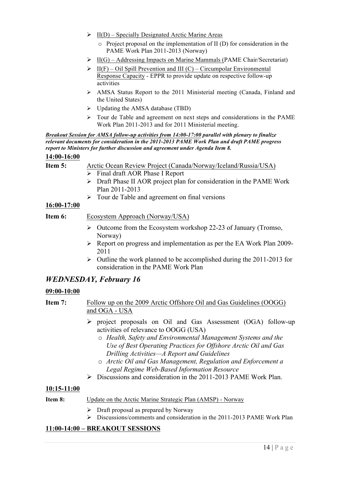- $\triangleright$  II(D) Specially Designated Arctic Marine Areas
	- o Project proposal on the implementation of II (D) for consideration in the PAME Work Plan 2011-2013 (Norway)
- $\triangleright$  II(G) Addressing Impacts on Marine Mammals (PAME Chair/Secretariat)
- $\triangleright$  II(F) Oil Spill Prevention and III (C) Circumpolar Environmental Response Capacity - EPPR to provide update on respective follow-up activities
- $\triangleright$  AMSA Status Report to the 2011 Ministerial meeting (Canada, Finland and the United States)
- $\triangleright$  Updating the AMSA database (TBD)
- $\triangleright$  Tour de Table and agreement on next steps and considerations in the PAME Work Plan 2011-2013 and for 2011 Ministerial meeting.

## *Breakout Session for AMSA follow-up activities from 14:00-17:00 parallel with plenary to finalize relevant documents for consideration in the 2011-2013 PAME Work Plan and draft PAME progress report to Ministers for further discussion and agreement under Agenda Item 8.*

## **14:00-16:00**

- **Item 5:** Arctic Ocean Review Project (Canada/Norway/Iceland/Russia/USA)
	- > Final draft AOR Phase I Report
	- $\triangleright$  Draft Phase II AOR project plan for consideration in the PAME Work Plan 2011-2013
	- $\triangleright$  Tour de Table and agreement on final versions

## **16:00-17:00**

## **Item 6:** Ecosystem Approach (Norway/USA)

- $\geq$  Outcome from the Ecosystem workshop 22-23 of January (Tromso, Norway)
- ! Report on progress and implementation as per the EA Work Plan 2009- 2011
- $\triangleright$  Outline the work planned to be accomplished during the 2011-2013 for consideration in the PAME Work Plan

## *WEDNESDAY, February 16*

## **09:00-10:00**

**Item 7:** Follow up on the 2009 Arctic Offshore Oil and Gas Guidelines (OOGG) and OGA - USA

- ! project proposals on Oil and Gas Assessment (OGA) follow-up activities of relevance to OOGG (USA)
	- o *Health, Safety and Environmental Management Systems and the Use of Best Operating Practices for Offshore Arctic Oil and Gas Drilling Activities—A Report and Guidelines*
	- o *Arctic Oil and Gas Management, Regulation and Enforcement a Legal Regime Web-Based Information Resource*
- $\triangleright$  Discussions and consideration in the 2011-2013 PAME Work Plan.

## **10:15-11:00**

#### **Item 8:** Update on the Arctic Marine Strategic Plan (AMSP) - Norway

- $\triangleright$  Draft proposal as prepared by Norway
- $\triangleright$  Discussions/comments and consideration in the 2011-2013 PAME Work Plan

## **11:00-14:00 – BREAKOUT SESSIONS**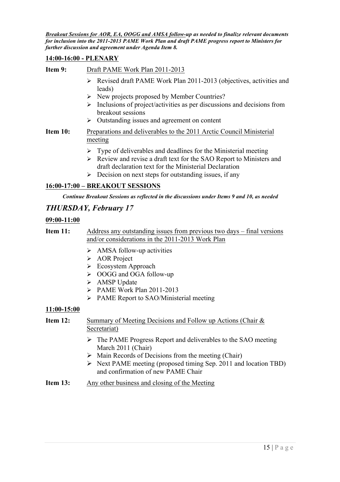*Breakout Sessions for AOR, EA, OOGG and AMSA follow-up as needed to finalize relevant documents for inclusion into the 2011-2013 PAME Work Plan and draft PAME progress report to Ministers for further discussion and agreement under Agenda Item 8.*

## **14:00-16:00 - PLENARY**

**Item 9:** Draft PAME Work Plan 2011-2013

- ! Revised draft PAME Work Plan 2011-2013 (objectives, activities and leads)
- ! New projects proposed by Member Countries?
- $\triangleright$  Inclusions of project/activities as per discussions and decisions from breakout sessions
- $\triangleright$  Outstanding issues and agreement on content
- **Item 10:** Preparations and deliverables to the 2011 Arctic Council Ministerial meeting
	- $\triangleright$  Type of deliverables and deadlines for the Ministerial meeting
	- $\triangleright$  Review and revise a draft text for the SAO Report to Ministers and draft declaration text for the Ministerial Declaration
	- $\triangleright$  Decision on next steps for outstanding issues, if any

## **16:00-17:00 – BREAKOUT SESSIONS**

*Continue Breakout Sessions as reflected in the discussions under Items 9 and 10, as needed*

## *THURSDAY, February 17*

## **09:00-11:00**

**Item 11:** Address any outstanding issues from previous two days – final versions and/or considerations in the 2011-2013 Work Plan

- $\triangleright$  AMSA follow-up activities
- > AOR Project
- > Ecosystem Approach
- ▶ OOGG and OGA follow-up
- > AMSP Update
- PAME Work Plan 2011-2013
- $\triangleright$  PAME Report to SAO/Ministerial meeting

## **11:00-15:00**

- **Item 12:** Summary of Meeting Decisions and Follow up Actions (Chair & Secretariat)
	- $\triangleright$  The PAME Progress Report and deliverables to the SAO meeting March 2011 (Chair)
	- $\triangleright$  Main Records of Decisions from the meeting (Chair)
	- ! Next PAME meeting (proposed timing Sep. 2011 and location TBD) and confirmation of new PAME Chair
- **Item 13:** Any other business and closing of the Meeting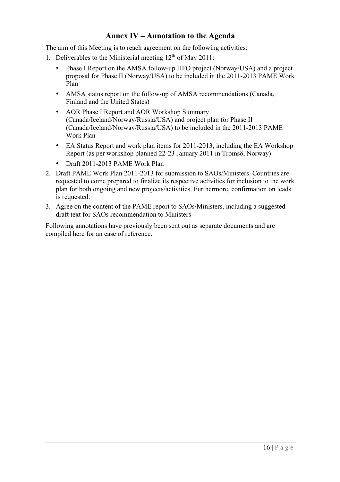## **Annex IV – Annotation to the Agenda**

The aim of this Meeting is to reach agreement on the following activities:

- 1. Deliverables to the Ministerial meeting  $12<sup>th</sup>$  of May 2011:
	- Phase I Report on the AMSA follow-up HFO project (Norway/USA) and a project proposal for Phase II (Norway/USA) to be included in the 2011-2013 PAME Work Plan
	- AMSA status report on the follow-up of AMSA recommendations (Canada, Finland and the United States)
	- AOR Phase I Report and AOR Workshop Summary (Canada/Iceland/Norway/Russia/USA) and project plan for Phase II (Canada/Iceland/Norway/Russia/USA) to be included in the 2011-2013 PAME Work Plan
	- EA Status Report and work plan items for 2011-2013, including the EA Workshop Report (as per workshop planned 22-23 January 2011 in Tromsö, Norway)
	- Draft 2011-2013 PAME Work Plan
- 2. Draft PAME Work Plan 2011-2013 for submission to SAOs/Ministers. Countries are requested to come prepared to finalize its respective activities for inclusion to the work plan for both ongoing and new projects/activities. Furthermore, confirmation on leads is requested.
- 3. Agree on the content of the PAME report to SAOs/Ministers, including a suggested draft text for SAOs recommendation to Ministers

Following annotations have previously been sent out as separate documents and are compiled here for an ease of reference.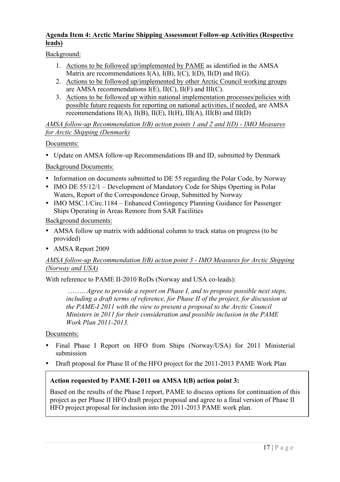## **Agenda Item 4: Arctic Marine Shipping Assessment Follow-up Activities (Respective leads)**

Background:

- 1. Actions to be followed up/implemented by PAME as identified in the AMSA Matrix are recommendations  $I(A)$ ,  $I(B)$ ,  $I(C)$ ,  $I(D)$ ,  $I(I(D))$  and  $I(I(G))$ .
- 2. Actions to be followed up/implemented by other Arctic Council working groups are AMSA recommendations  $I(E)$ ,  $II(C)$ ,  $II(F)$  and  $III(C)$ .
- 3. Actions to be followed up within national implementation processes/policies with possible future requests for reporting on national activities, if needed, are AMSA recommendations  $II(A)$ ,  $II(B)$ ,  $II(E)$ ,  $II(H)$ ,  $III(A)$ ,  $III(B)$  and  $III(D)$

*AMSA follow-up Recommendation I(B) action points 1 and 2 and I(D) - IMO Measures for Arctic Shipping (Denmark)*

Documents:

• Update on AMSA follow-up Recommendations IB and ID, submitted by Denmark

Background Documents:

- Information on documents submitted to DE 55 regarding the Polar Code, by Norway
- IMO DE 55/12/1 Development of Mandatory Code for Ships Operting in Polar Waters, Report of the Correspondence Group, Submitted by Norway
- IMO MSC.1/Circ.1184 Enhanced Contingency Planning Guidance for Passenger Ships Operating in Areas Remore from SAR Facilities

Background documents:

- AMSA follow up matrix with additional column to track status on progress (to be provided)
- AMSA Report 2009

## *AMSA follow-up Recommendation I(B) action point 3 - IMO Measures for Arctic Shipping (Norway and USA)*

With reference to PAME II-2010 RoDs (Norway and USA co-leads):

…….. *Agree to provide a report on Phase I, and to propose possible next steps, including a draft terms of reference, for Phase II of the project, for discussion at the PAME-I 2011 with the view to present a proposal to the Arctic Council Ministers in 2011 for their consideration and possible inclusion in the PAME Work Plan 2011-2013.*

## Documents:

- Final Phase I Report on HFO from Ships (Norway/USA) for 2011 Ministerial submission
- Draft proposal for Phase II of the HFO project for the 2011-2013 PAME Work Plan

## **Action requested by PAME I-2011 on AMSA I(B) action point 3:**

Based on the results of the Phase I report, PAME to discuss options for continuation of this project as per Phase II HFO draft project proposal and agree to a final version of Phase II HFO project proposal for inclusion into the 2011-2013 PAME work plan.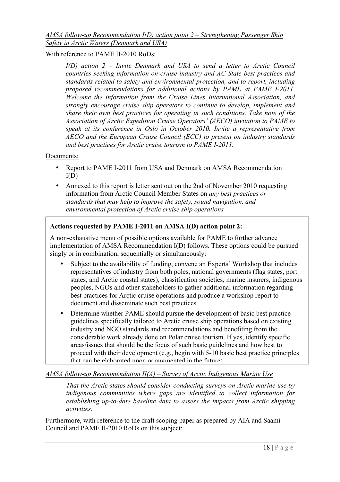## With reference to PAME II-2010 RoDs:

*I(D) action 2 – Invite Denmark and USA to send a letter to Arctic Council countries seeking information on cruise industry and AC State best practices and standards related to safety and environmental protection, and to report, including proposed recommendations for additional actions by PAME at PAME I-2011. Welcome the information from the Cruise Lines International Association, and strongly encourage cruise ship operators to continue to develop, implement and share their own best practices for operating in such conditions. Take note of the Association of Arctic Expedition Cruise Operators' (AECO) invitation to PAME to speak at its conference in Oslo in October 2010. Invite a representative from AECO and the European Cruise Council (ECC) to present on industry standards and best practices for Arctic cruise tourism to PAME I-2011.*

## Documents:

- Report to PAME I-2011 from USA and Denmark on AMSA Recommendation  $I(D)$
- Annexed to this report is letter sent out on the 2nd of November 2010 requesting information from Arctic Council Member States on *any best practices or standards that may help to improve the safety, sound navigation, and environmental protection of Arctic cruise ship operations*

## **Actions requested by PAME I-2011 on AMSA I(D) action point 2:**

A non-exhaustive menu of possible options available for PAME to further advance implementation of AMSA Recommendation I(D) follows. These options could be pursued singly or in combination, sequentially or simultaneously:

- Subject to the availability of funding, convene an Experts' Workshop that includes representatives of industry from both poles, national governments (flag states, port states, and Arctic coastal states), classification societies, marine insurers, indigenous peoples, NGOs and other stakeholders to gather additional information regarding best practices for Arctic cruise operations and produce a workshop report to document and disseminate such best practices.
- Determine whether PAME should pursue the development of basic best practice guidelines specifically tailored to Arctic cruise ship operations based on existing industry and NGO standards and recommendations and benefiting from the considerable work already done on Polar cruise tourism. If yes, identify specific areas/issues that should be the focus of such basic guidelines and how best to proceed with their development (e.g., begin with 5-10 basic best practice principles that can be elaborated upon or augmented in the future).

*AMSA follow-up Recommendation II(A) – Survey of Arctic Indigenous Marine Use*  $\frac{d}{dx}$  –  $\frac{d}{dx}$  –  $\frac{d}{dx}$  and  $\frac{d}{dx}$  in the development by  $\frac{d}{dx}$ 

That the Arctic states should consider conducting surveys on Arctic marine use by indigenous communities where gaps are identified to collect information for establishing up-to-date baseline data to assess the impacts from Arctic shipping *activities.* particities. The Arctic marine environment of the Arctic marine environment. The Arctic marine environment of  $\mathcal{L}$ 

Furthermore, with reference to the draft scoping paper as prepared by AIA and Saami Council and PAME II-2010 RoDs on this subject: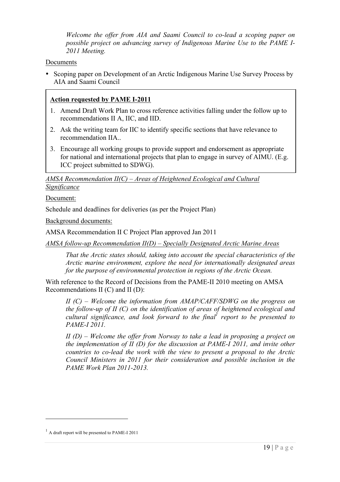*Welcome the offer from AIA and Saami Council to co-lead a scoping paper on possible project on advancing survey of Indigenous Marine Use to the PAME I-2011 Meeting.*

## **Documents**

• Scoping paper on Development of an Arctic Indigenous Marine Use Survey Process by AIA and Saami Council

## **Action requested by PAME I-2011**

- 1. Amend Draft Work Plan to cross reference activities falling under the follow up to recommendations II A, IIC, and IID.
- 2. Ask the writing team for IIC to identify specific sections that have relevance to recommendation IIA
- 3. Encourage all working groups to provide support and endorsement as appropriate for national and international projects that plan to engage in survey of AIMU. (E.g. ICC project submitted to SDWG).

*AMSA Recommendation II(C) – Areas of Heightened Ecological and Cultural Significance* 

Document: 5. Create and maintain a registry of Arctic Council activities in the field of AIMU.

Schedule and deadlines for deliveries (as per the Project Plan)

Background documents:

AMSA Recommendation II C Project Plan approved Jan 2011

*AMSA follow-up Recommendation II(D) – Specially Designated Arctic Marine Areas*

*That the Arctic states should, taking into account the special characteristics of the Arctic marine environment, explore the need for internationally designated areas for the purpose of environmental protection in regions of the Arctic Ocean.*

With reference to the Record of Decisions from the PAME-II 2010 meeting on AMSA Recommendations II (C) and II (D):

*II (C) – Welcome the information from AMAP/CAFF/SDWG on the progress on the follow-up of II (C) on the identification of areas of heightened ecological and cultural significance, and look forward to the final report to be presented to PAME-I 2011.* 

*II (D) – Welcome the offer from Norway to take a lead in proposing a project on the implementation of II (D) for the discussion at PAME-I 2011, and invite other countries to co-lead the work with the view to present a proposal to the Arctic Council Ministers in 2011 for their consideration and possible inclusion in the PAME Work Plan 2011-2013.*

 $\overline{a}$ 

<sup>1</sup> A draft report will be presented to PAME-I 2011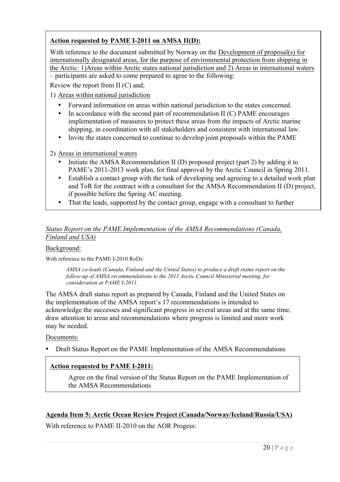## **Action requested by PAME I-2011 on AMSA II(D):**

With reference to the document submitted by Norway on the Development of proposal(s) for internationally designated areas, for the purpose of environmental protection from shipping in the Arctic: 1)Areas within Arctic states national jurisdiction and 2) Areas in international waters – participants are asked to come prepared to agree to the following:

Review the report from II (C) and;

1) Areas within national jurisdiction

- Forward information on areas within national jurisdiction to the states concerned.
- In accordance with the second part of recommendation II (C) PAME encourages implementation of measures to protect these areas from the impacts of Arctic marine shipping, in coordination with all stakeholders and consistent with international law.
- Invite the states concerned to continue to develop joint proposals within the PAME
- 2) Areas in international waters
	- Initiate the AMSA Recommendation II (D) proposed project (part 2) by adding it to PAME's 2011-2013 work plan, for final approval by the Arctic Council in Spring 2011.
	- Establish a contact group with the task of developing and agreeing to a detailed work plan and ToR for the contract with a consultant for the AMSA Recommendation II (D) project, if possible before the Spring AC meeting.

elaborate or explore options that are available (SA, PSSA, ECAs etc) and develop a draft

That the leads, supported by the contact group, engage with a consultant to further

## **Status Report on the PAME Implementation of the AMSA Recommendations (Canada, Finland and USA)**<br>Finland and USA)

## Background:

With reference to the PAME I-2010 RoDs:

*AMSA co-leads (Canada, Finland and the United States) to produce a draft status report on the follow-up of AMSA recommendations to the 2011 Arctic Council Ministerial meeting, for consideration at PAME I-2011.*

The AMSA draft status report as prepared by Canada, Finland and the United States on the implementation of the AMSA report's 17 recommendations is intended to acknowledge the successes and significant progress in several areas and at the same time, draw attention to areas and recommendations where progress is limited and more work may be needed.

## Documents:

• Draft Status Report on the PAME Implementation of the AMSA Recommendations

## **Action requested by PAME I-2011:**

Agree on the final version of the Status Report on the PAME Implementation of the AMSA Recommendations

## **Agenda Item 5: Arctic Ocean Review Project (Canada/Norway/Iceland/Russia/USA)**

With reference to PAME II-2010 on the AOR Progess: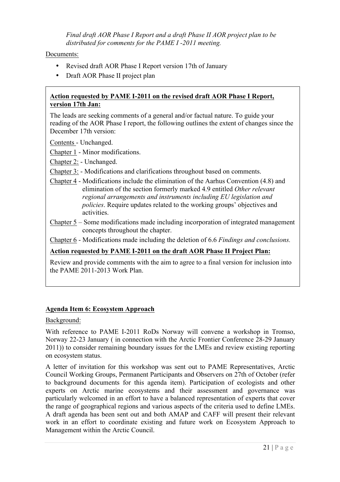*Final draft AOR Phase I Report and a draft Phase II AOR project plan to be distributed for comments for the PAME I -2011 meeting.*

Documents:

- Revised draft AOR Phase I Report version 17th of January
- Draft AOR Phase II project plan

## **Action requested by PAME I-2011 on the revised draft AOR Phase I Report, version 17th Jan:**

The leads are seeking comments of a general and/or factual nature. To guide your reading of the AOR Phase I report, the following outlines the extent of changes since the December 17th version:

Contents - Unchanged.

Chapter 1 - Minor modifications.

- Chapter 2: Unchanged.
- Chapter 3: Modifications and clarifications throughout based on comments.
- Chapter 4 Modifications include the elimination of the Aarhus Convention (4.8) and elimination of the section formerly marked 4.9 entitled *Other relevant regional arrangements and instruments including EU legislation and policies*. Require updates related to the working groups' objectives and activities.
- Chapter 5 Some modifications made including incorporation of integrated management concepts throughout the chapter.

Chapter 6 - Modifications made including the deletion of 6.6 *Findings and conclusions.*

## **Action requested by PAME I-2011 on the draft AOR Phase II Project Plan:**

Review and provide comments with the aim to agree to a final version for inclusion into the PAME 2011-2013 Work Plan.

## **Agenda Item 6: Ecosystem Approach**

#### Background:

With reference to PAME I-2011 RoDs Norway will convene a workshop in Tromso, Norway 22-23 January ( in connection with the Arctic Frontier Conference 28-29 January 2011)) to consider remaining boundary issues for the LMEs and review existing reporting on ecosystem status.

A letter of invitation for this workshop was sent out to PAME Representatives, Arctic Council Working Groups, Permanent Participants and Observers on 27th of October (refer to background documents for this agenda item). Participation of ecologists and other experts on Arctic marine ecosystems and their assessment and governance was particularly welcomed in an effort to have a balanced representation of experts that cover the range of geographical regions and various aspects of the criteria used to define LMEs. A draft agenda has been sent out and both AMAP and CAFF will present their relevant work in an effort to coordinate existing and future work on Ecosystem Approach to Management within the Arctic Council.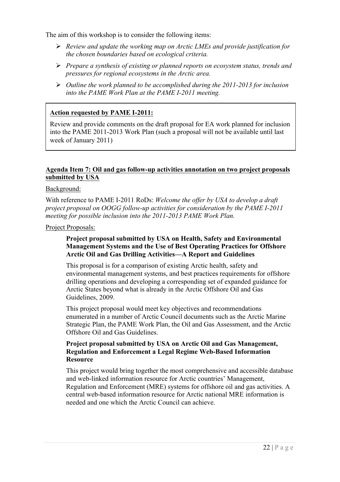The aim of this workshop is to consider the following items:

- ! *Review and update the working map on Arctic LMEs and provide justification for the chosen boundaries based on ecological criteria.*
- ! *Prepare a synthesis of existing or planned reports on ecosystem status, trends and pressures for regional ecosystems in the Arctic area.*
- ! *Outline the work planned to be accomplished during the 2011-2013 for inclusion into the PAME Work Plan at the PAME I-2011 meeting.*

## **Action requested by PAME I-2011:**

Review and provide comments on the draft proposal for EA work planned for inclusion into the PAME 2011-2013 Work Plan (such a proposal will not be available until last week of January 2011)

## **Agenda Item 7: Oil and gas follow-up activities annotation on two project proposals submitted by USA**

## Background:

With reference to PAME I-2011 RoDs: *Welcome the offer by USA to develop a draft project proposal on OOGG follow-up activities for consideration by the PAME I-2011 meeting for possible inclusion into the 2011-2013 PAME Work Plan.*

## Project Proposals:

## **Project proposal submitted by USA on Health, Safety and Environmental Management Systems and the Use of Best Operating Practices for Offshore Arctic Oil and Gas Drilling Activities—A Report and Guidelines**

This proposal is for a comparison of existing Arctic health, safety and environmental management systems, and best practices requirements for offshore drilling operations and developing a corresponding set of expanded guidance for Arctic States beyond what is already in the Arctic Offshore Oil and Gas Guidelines, 2009.

This project proposal would meet key objectives and recommendations enumerated in a number of Arctic Council documents such as the Arctic Marine Strategic Plan, the PAME Work Plan, the Oil and Gas Assessment, and the Arctic Offshore Oil and Gas Guidelines.

## **Project proposal submitted by USA on Arctic Oil and Gas Management, Regulation and Enforcement a Legal Regime Web-Based Information Resource**

This project would bring together the most comprehensive and accessible database and web-linked information resource for Arctic countries' Management, Regulation and Enforcement (MRE) systems for offshore oil and gas activities. A central web-based information resource for Arctic national MRE information is needed and one which the Arctic Council can achieve.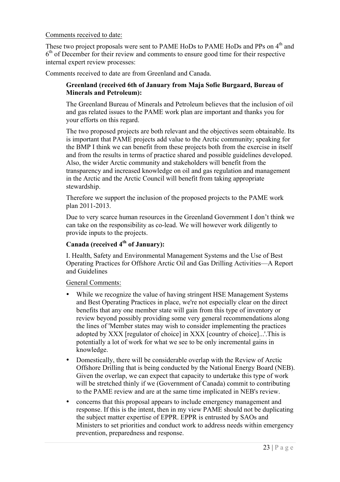## Comments received to date:

These two project proposals were sent to PAME HoDs to PAME HoDs and PPs on 4<sup>th</sup> and  $6<sup>th</sup>$  of December for their review and comments to ensure good time for their respective internal expert review processes:

Comments received to date are from Greenland and Canada.

## **Greenland (received 6th of January from Maja Sofie Burgaard, Bureau of Minerals and Petroleum):**

The Greenland Bureau of Minerals and Petroleum believes that the inclusion of oil and gas related issues to the PAME work plan are important and thanks you for your efforts on this regard.

The two proposed projects are both relevant and the objectives seem obtainable. Its is important that PAME projects add value to the Arctic community; speaking for the BMP I think we can benefit from these projects both from the exercise in itself and from the results in terms of practice shared and possible guidelines developed. Also, the wider Arctic community and stakeholders will benefit from the transparency and increased knowledge on oil and gas regulation and management in the Arctic and the Arctic Council will benefit from taking appropriate stewardship.

Therefore we support the inclusion of the proposed projects to the PAME work plan 2011-2013.

Due to very scarce human resources in the Greenland Government I don't think we can take on the responsibility as co-lead. We will however work diligently to provide inputs to the projects.

## **Canada (received 4th of January):**

I. Health, Safety and Environmental Management Systems and the Use of Best Operating Practices for Offshore Arctic Oil and Gas Drilling Activities—A Report and Guidelines

General Comments:

- While we recognize the value of having stringent HSE Management Systems and Best Operating Practices in place, we're not especially clear on the direct benefits that any one member state will gain from this type of inventory or review beyond possibly providing some very general recommendations along the lines of 'Member states may wish to consider implementing the practices adopted by XXX [regulator of choice] in XXX [country of choice]...'.This is potentially a lot of work for what we see to be only incremental gains in knowledge.
- Domestically, there will be considerable overlap with the Review of Arctic Offshore Drilling that is being conducted by the National Energy Board (NEB). Given the overlap, we can expect that capacity to undertake this type of work will be stretched thinly if we (Government of Canada) commit to contributing to the PAME review and are at the same time implicated in NEB's review.
- concerns that this proposal appears to include emergency management and response. If this is the intent, then in my view PAME should not be duplicating the subject matter expertise of EPPR. EPPR is entrusted by SAOs and Ministers to set priorities and conduct work to address needs within emergency prevention, preparedness and response.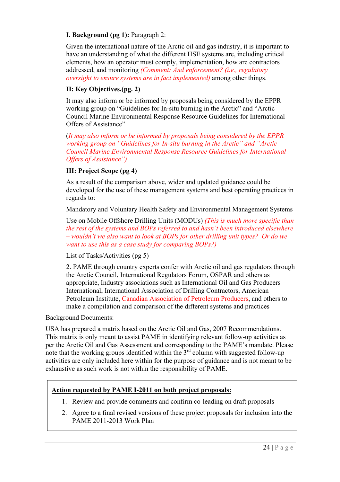## **I. Background (pg 1):** Paragraph 2:

Given the international nature of the Arctic oil and gas industry, it is important to have an understanding of what the different HSE systems are, including critical elements, how an operator must comply, implementation, how are contractors addressed, and monitoring *(Comment: And enforcement? (i.e., regulatory oversight to ensure systems are in fact implemented)* among other things.

## **II: Key Objectives.(pg. 2)**

It may also inform or be informed by proposals being considered by the EPPR working group on "Guidelines for In-situ burning in the Arctic" and "Arctic Council Marine Environmental Response Resource Guidelines for International Offers of Assistance"

(*It may also inform or be informed by proposals being considered by the EPPR working group on "Guidelines for In-situ burning in the Arctic" and "Arctic Council Marine Environmental Response Resource Guidelines for International Offers of Assistance")*

## **III: Project Scope (pg 4)**

As a result of the comparison above, wider and updated guidance could be developed for the use of these management systems and best operating practices in regards to:

Mandatory and Voluntary Health Safety and Environmental Management Systems

Use on Mobile Offshore Drilling Units (MODUs) *(This is much more specific than the rest of the systems and BOPs referred to and hasn't been introduced elsewhere – wouldn't we also want to look at BOPs for other drilling unit types? Or do we want to use this as a case study for comparing BOPs?)*

List of Tasks/Activities (pg 5)

2. PAME through country experts confer with Arctic oil and gas regulators through the Arctic Council, International Regulators Forum, OSPAR and others as appropriate, Industry associations such as International Oil and Gas Producers International, International Association of Drilling Contractors, American Petroleum Institute, Canadian Association of Petroleum Producers, and others to make a compilation and comparison of the different systems and practices

Background Documents:

USA has prepared a matrix based on the Arctic Oil and Gas, 2007 Recommendations. This matrix is only meant to assist PAME in identifying relevant follow-up activities as per the Arctic Oil and Gas Assessment and corresponding to the PAME's mandate. Please note that the working groups identified within the  $3<sup>rd</sup>$  column with suggested follow-up activities are only included here within for the purpose of guidance and is not meant to be exhaustive as such work is not within the responsibility of PAME.

## **Action requested by PAME I-2011 on both project proposals:**

- 1. Review and provide comments and confirm co-leading on draft proposals
- 2. Agree to a final revised versions of these project proposals for inclusion into the PAME 2011-2013 Work Plan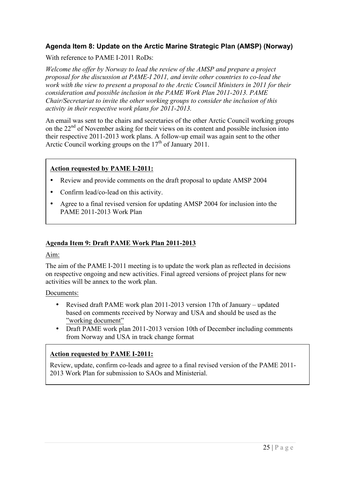## **Agenda Item 8: Update on the Arctic Marine Strategic Plan (AMSP) (Norway)**

With reference to PAME I-2011 RoDs:

*Welcome the offer by Norway to lead the review of the AMSP and prepare a project proposal for the discussion at PAME-I 2011, and invite other countries to co-lead the work with the view to present a proposal to the Arctic Council Ministers in 2011 for their consideration and possible inclusion in the PAME Work Plan 2011-2013. PAME Chair/Secretariat to invite the other working groups to consider the inclusion of this activity in their respective work plans for 2011-2013.*

An email was sent to the chairs and secretaries of the other Arctic Council working groups on the  $22<sup>nd</sup>$  of November asking for their views on its content and possible inclusion into their respective 2011-2013 work plans. A follow-up email was again sent to the other Arctic Council working groups on the  $17<sup>th</sup>$  of January 2011.

## **Action requested by PAME I-2011:**

- Review and provide comments on the draft proposal to update AMSP 2004
- Confirm lead/co-lead on this activity.
- Agree to a final revised version for updating AMSP 2004 for inclusion into the PAME 2011-2013 Work Plan

## **Agenda Item 9: Draft PAME Work Plan 2011-2013**

## Aim:

The aim of the PAME I-2011 meeting is to update the work plan as reflected in decisions on respective ongoing and new activities. Final agreed versions of project plans for new activities will be annex to the work plan.

#### Documents:

- Revised draft PAME work plan 2011-2013 version 17th of January updated based on comments received by Norway and USA and should be used as the "working document"
- Draft PAME work plan 2011-2013 version 10th of December including comments from Norway and USA in track change format

## **Action requested by PAME I-2011:**

Review, update, confirm co-leads and agree to a final revised version of the PAME 2011- 2013 Work Plan for submission to SAOs and Ministerial.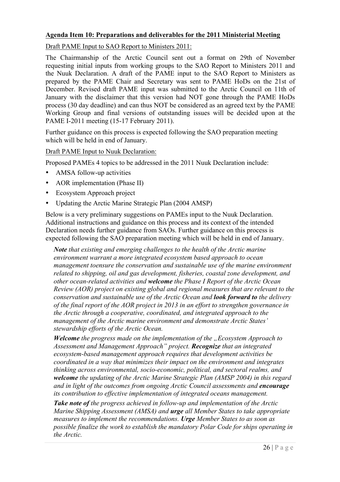## **Agenda Item 10: Preparations and deliverables for the 2011 Ministerial Meeting**

Draft PAME Input to SAO Report to Ministers 2011:

The Chairmanship of the Arctic Council sent out a format on 29th of November requesting initial inputs from working groups to the SAO Report to Ministers 2011 and the Nuuk Declaration. A draft of the PAME input to the SAO Report to Ministers as prepared by the PAME Chair and Secretary was sent to PAME HoDs on the 21st of December. Revised draft PAME input was submitted to the Arctic Council on 11th of January with the disclaimer that this version had NOT gone through the PAME HoDs process (30 day deadline) and can thus NOT be considered as an agreed text by the PAME Working Group and final versions of outstanding issues will be decided upon at the PAME I-2011 meeting (15-17 February 2011).

Further guidance on this process is expected following the SAO preparation meeting which will be held in end of January.

## Draft PAME Input to Nuuk Declaration:

Proposed PAMEs 4 topics to be addressed in the 2011 Nuuk Declaration include:

- AMSA follow-up activities
- AOR implementation (Phase II)
- Ecosystem Approach project
- Updating the Arctic Marine Strategic Plan (2004 AMSP)

Below is a very preliminary suggestions on PAMEs input to the Nuuk Declaration. Additional instructions and guidance on this process and its context of the intended Declaration needs further guidance from SAOs. Further guidance on this process is expected following the SAO preparation meeting which will be held in end of January.

*Note that existing and emerging challenges to the health of the Arctic marine environment warrant a more integrated ecosystem based approach to ocean management toensure the conservation and sustainable use of the marine environment related to shipping, oil and gas development, fisheries, coastal zone development, and other ocean-related activities and welcome the Phase I Report of the Arctic Ocean Review (AOR) project on existing global and regional measures that are relevant to the conservation and sustainable use of the Arctic Ocean and look forward to the delivery of the final report of the AOR project in 2013 in an effort to strengthen governance in the Arctic through a cooperative, coordinated, and integrated approach to the management of the Arctic marine environment and demonstrate Arctic States' stewardship efforts of the Arctic Ocean.* 

*Welcome the progress made on the implementation of the "Ecosystem Approach to Assessment and Management Approach" project. Recognize that an integrated ecosystem-based management approach requires that development activities be coordinated in a way that minimizes their impact on the environment and integrates thinking across environmental, socio-economic, political, and sectoral realms, and welcome the updating of the Arctic Marine Strategic Plan (AMSP 2004) in this regard and in light of the outcomes from ongoing Arctic Council assessments and encourage its contribution to effective implementation of integrated oceans management.*

*Take note of the progress achieved in follow-up and implementation of the Arctic Marine Shipping Assessment (AMSA) and urge all Member States to take appropriate measures to implement the recommendations. Urge Member States to as soon as possible finalize the work to establish the mandatory Polar Code for ships operating in the Arctic.*